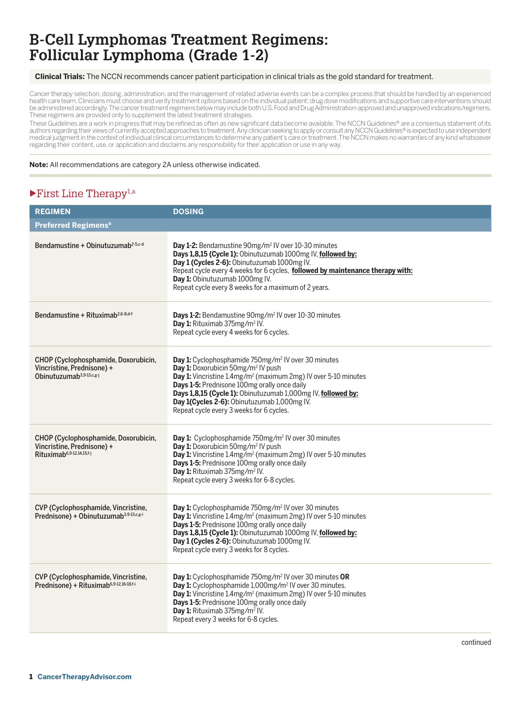#### **Clinical Trials:** The NCCN recommends cancer patient participation in clinical trials as the gold standard for treatment.

Cancer therapy selection, dosing, administration, and the management of related adverse events can be a complex process that should be handled by an experienced health care team. Clinicians must choose and verify treatment options based on the individual patient; drug dose modifications and supportive care interventions should be administered accordingly. The cancer treatment regimens below may include both U.S. Food and Drug Administration-approved and unapproved indications/regimens. These regimens are provided only to supplement the latest treatment strategies.

These Guidelines are a work in progress that may be refined as often as new significant data become available. The NCCN Guidelines® are a consensus statement of its<br>authors regarding their views of currently accepted appro medical judgment in the context of individual clinical circumstances to determine any patient's care or treatment. The NCCN makes no warranties of any kind whatsoever regarding their content, use, or application and disclaims any responsibility for their application or use in any way.

#### **Note:** All recommendations are category 2A unless otherwise indicated.

### $\blacktriangleright$  First Line Therapy<sup>1,a</sup>

| <b>REGIMEN</b>                                                                                              | <b>DOSING</b>                                                                                                                                                                                                                                                                                                                                                                                              |
|-------------------------------------------------------------------------------------------------------------|------------------------------------------------------------------------------------------------------------------------------------------------------------------------------------------------------------------------------------------------------------------------------------------------------------------------------------------------------------------------------------------------------------|
| Preferred Regimens <sup>b</sup>                                                                             |                                                                                                                                                                                                                                                                                                                                                                                                            |
| Bendamustine + Obinutuzumab <sup>2-5,c-d</sup>                                                              | Day 1-2: Bendamustine 90mg/m <sup>2</sup> IV over 10-30 minutes<br>Days 1,8,15 (Cycle 1): Obinutuzumab 1000mg IV, followed by:<br>Day 1 (Cycles 2-6): Obinutuzumab 1000mg IV.<br>Repeat cycle every 4 weeks for 6 cycles, followed by maintenance therapy with:<br>Day 1: Obinutuzumab 1000mg IV.<br>Repeat cycle every 8 weeks for a maximum of 2 years.                                                  |
| Bendamustine + Rituximab <sup>2,6-8,d-f</sup>                                                               | Days 1-2: Bendamustine 90mg/m <sup>2</sup> IV over 10-30 minutes<br>Day 1: Rituximab 375mg/m <sup>2</sup> IV.<br>Repeat cycle every 4 weeks for 6 cycles.                                                                                                                                                                                                                                                  |
| CHOP (Cyclophosphamide, Doxorubicin,<br>Vincristine, Prednisone) +<br>$Ohinutuzumab3,9-13,c,g-j$            | Day 1: Cyclophosphamide 750mg/m <sup>2</sup> IV over 30 minutes<br>Day 1: Doxorubicin 50mg/m <sup>2</sup> IV push<br>Day 1: Vincristine 1.4mg/m <sup>2</sup> (maximum 2mg) IV over 5-10 minutes<br>Days 1-5: Prednisone 100mg orally once daily<br>Days 1,8,15 (Cycle 1): Obinutuzumab 1,000mg IV, followed by:<br>Day 1(Cycles 2-6): Obinutuzumab 1,000mg IV.<br>Repeat cycle every 3 weeks for 6 cycles. |
| CHOP (Cyclophosphamide, Doxorubicin,<br>Vincristine, Prednisone) +<br>Rituximab <sup>6,9-12,14,15,f-j</sup> | Day 1: Cyclophosphamide 750mg/m <sup>2</sup> IV over 30 minutes<br>Day 1: Doxorubicin 50mg/m <sup>2</sup> IV push<br>Day 1: Vincristine 1.4mg/m <sup>2</sup> (maximum 2mg) IV over 5-10 minutes<br>Days 1-5: Prednisone 100mg orally once daily<br>Day 1: Rituximab 375mg/m <sup>2</sup> IV.<br>Repeat cycle every 3 weeks for 6-8 cycles.                                                                 |
| CVP (Cyclophosphamide, Vincristine,<br>Prednisone) + Obinutuzumab <sup>3,9-13,c,g-i</sup>                   | Day 1: Cyclophosphamide 750mg/m <sup>2</sup> IV over 30 minutes<br>Day 1: Vincristine 1.4mg/m <sup>2</sup> (maximum 2mg) IV over 5-10 minutes<br>Days 1-5: Prednisone 100mg orally once daily<br>Days 1,8,15 (Cycle 1): Obinutuzumab 1000mg IV, followed by:<br>Day 1 (Cycles 2-6): Obinutuzumab 1000mg IV.<br>Repeat cycle every 3 weeks for 8 cycles.                                                    |
| CVP (Cyclophosphamide, Vincristine,<br>Prednisone) + Rituximab <sup>6,9-12,16-18,f-i</sup>                  | Day 1: Cyclophosphamide 750mg/m <sup>2</sup> IV over 30 minutes OR<br>Day 1: Cyclophosphamide 1,000mg/m <sup>2</sup> IV over 30 minutes.<br>Day 1: Vincristine 1.4mg/m <sup>2</sup> (maximum 2mg) IV over 5-10 minutes<br>Days 1-5: Prednisone 100mg orally once daily<br>Day 1: Rituximab 375mg/m <sup>2</sup> IV.<br>Repeat every 3 weeks for 6-8 cycles.                                                |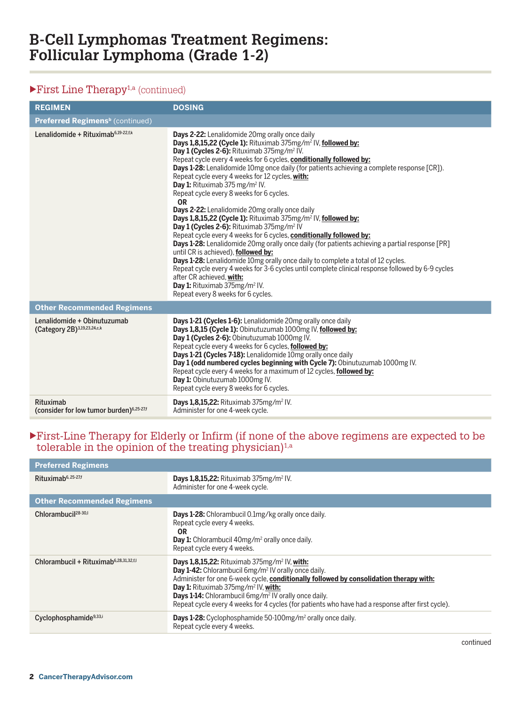# $\blacktriangleright$  First Line Therapy<sup>1,a</sup> (continued)

| <b>REGIMEN</b>                                                    | <b>DOSING</b>                                                                                                                                                                                                                                                                                                                                                                                                                                                                                                                                                                                                                                                                                                                                                                                                                                                                                                                                                                                                                                                                                                                                                                                                                                             |
|-------------------------------------------------------------------|-----------------------------------------------------------------------------------------------------------------------------------------------------------------------------------------------------------------------------------------------------------------------------------------------------------------------------------------------------------------------------------------------------------------------------------------------------------------------------------------------------------------------------------------------------------------------------------------------------------------------------------------------------------------------------------------------------------------------------------------------------------------------------------------------------------------------------------------------------------------------------------------------------------------------------------------------------------------------------------------------------------------------------------------------------------------------------------------------------------------------------------------------------------------------------------------------------------------------------------------------------------|
| <b>Preferred Regimens<sup>b</sup></b> (continued)                 |                                                                                                                                                                                                                                                                                                                                                                                                                                                                                                                                                                                                                                                                                                                                                                                                                                                                                                                                                                                                                                                                                                                                                                                                                                                           |
| Lenalidomide + Rituximab <sup>6,19-22,f,k</sup>                   | Days 2-22: Lenalidomide 20mg orally once daily<br>Days 1,8,15,22 (Cycle 1): Rituximab 375mg/m <sup>2</sup> IV, followed by:<br>Day 1 (Cycles 2-6): Rituximab 375mg/m <sup>2</sup> IV.<br>Repeat cycle every 4 weeks for 6 cycles, conditionally followed by:<br><b>Days 1-28:</b> Lenalidomide 10mg once daily (for patients achieving a complete response [CR]).<br>Repeat cycle every 4 weeks for 12 cycles, with:<br><b>Day 1:</b> Rituximab 375 mg/m <sup>2</sup> IV.<br>Repeat cycle every 8 weeks for 6 cycles.<br><b>OR</b><br>Days 2-22: Lenalidomide 20mg orally once daily<br>Days 1,8,15,22 (Cycle 1): Rituximab 375mg/m <sup>2</sup> IV, followed by:<br>Day 1 (Cycles 2-6): Rituximab 375mg/m <sup>2</sup> IV<br>Repeat cycle every 4 weeks for 6 cycles, conditionally followed by:<br><b>Days 1-28:</b> Lenalidomide 20mg orally once daily (for patients achieving a partial response [PR]<br>until CR is achieved), followed by:<br>Days 1-28: Lenalidomide 10mg orally once daily to complete a total of 12 cycles.<br>Repeat cycle every 4 weeks for 3-6 cycles until complete clinical response followed by 6-9 cycles<br>after CR achieved. with:<br>Day 1: Rituximab 375mg/m <sup>2</sup> IV.<br>Repeat every 8 weeks for 6 cycles. |
| <b>Other Recommended Regimens</b>                                 |                                                                                                                                                                                                                                                                                                                                                                                                                                                                                                                                                                                                                                                                                                                                                                                                                                                                                                                                                                                                                                                                                                                                                                                                                                                           |
| Lenalidomide + Obinutuzumab<br>(Category 2B)3,19,23,24,c,k        | Days 1-21 (Cycles 1-6): Lenalidomide 20mg orally once daily<br>Days 1,8,15 (Cycle 1): Obinutuzumab 1000mg IV, followed by:<br>Day 1 (Cycles 2-6): Obinutuzumab 1000mg IV.<br>Repeat cycle every 4 weeks for 6 cycles, followed by:<br>Days 1-21 (Cycles 7-18): Lenalidomide 10mg orally once daily<br>Day 1 (odd numbered cycles beginning with Cycle 7): Obinutuzumab 1000mg IV.<br>Repeat cycle every 4 weeks for a maximum of 12 cycles, followed by:<br>Day 1: Obinutuzumab 1000mg IV.<br>Repeat cycle every 8 weeks for 6 cycles.                                                                                                                                                                                                                                                                                                                                                                                                                                                                                                                                                                                                                                                                                                                    |
| Rituximab<br>(consider for low tumor burden) <sup>6,25-27,f</sup> | <b>Days 1,8,15,22:</b> Rituximab 375mg/m <sup>2</sup> IV.<br>Administer for one 4-week cycle.                                                                                                                                                                                                                                                                                                                                                                                                                                                                                                                                                                                                                                                                                                                                                                                                                                                                                                                                                                                                                                                                                                                                                             |

#### uFirst-Line Therapy for Elderly or Infirm (if none of the above regimens are expected to be tolerable in the opinion of the treating physician)<sup>1,a</sup>

| <b>Preferred Regimens</b>                          |                                                                                                                                                                                                                                                                                                                                                                                                                                                 |
|----------------------------------------------------|-------------------------------------------------------------------------------------------------------------------------------------------------------------------------------------------------------------------------------------------------------------------------------------------------------------------------------------------------------------------------------------------------------------------------------------------------|
| Rituximab <sup>6, 25-27,f</sup>                    | <b>Days 1,8,15,22:</b> Rituximab $375$ mg/m <sup>2</sup> IV.<br>Administer for one 4-week cycle.                                                                                                                                                                                                                                                                                                                                                |
| <b>Other Recommended Regimens</b>                  |                                                                                                                                                                                                                                                                                                                                                                                                                                                 |
| Chlorambucil <sup>28-30,1</sup>                    | <b>Days 1-28:</b> Chlorambucil 0.1mg/kg orally once daily.<br>Repeat cycle every 4 weeks.<br>0R<br><b>Day 1:</b> Chlorambucil 40mg/m <sup>2</sup> orally once daily.<br>Repeat cycle every 4 weeks.                                                                                                                                                                                                                                             |
| Chlorambucil + Rituximab <sup>6,28,31,32,f,l</sup> | Days 1,8,15,22: Rituximab $375mg/m^2$ IV, with:<br>Day 1-42: Chlorambucil 6mg/m <sup>2</sup> IV orally once daily.<br>Administer for one 6-week cycle, conditionally followed by consolidation therapy with:<br>Day 1: Rituximab 375mg/m <sup>2</sup> IV, with:<br><b>Days 1-14:</b> Chlorambucil 6mg/m <sup>2</sup> IV orally once daily.<br>Repeat cycle every 4 weeks for 4 cycles (for patients who have had a response after first cycle). |
| Cyclophosphamide <sup>9,33,i</sup>                 | Days 1-28: Cyclophosphamide 50-100mg/m <sup>2</sup> orally once daily.<br>Repeat cycle every 4 weeks.                                                                                                                                                                                                                                                                                                                                           |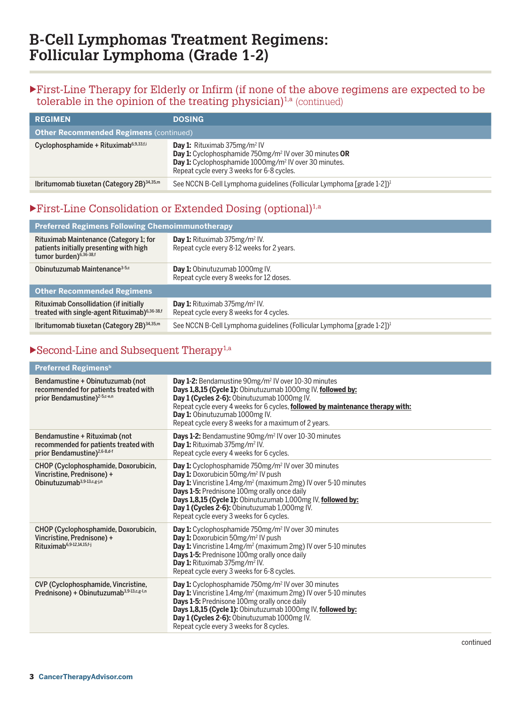#### uFirst-Line Therapy for Elderly or Infirm (if none of the above regimens are expected to be tolerable in the opinion of the treating physician)<sup>1,a</sup> (continued)

| <b>REGIMEN</b>                                        | <b>DOSING</b>                                                                                                                                                                                                                               |
|-------------------------------------------------------|---------------------------------------------------------------------------------------------------------------------------------------------------------------------------------------------------------------------------------------------|
| <b>Other Recommended Regimens (continued)</b>         |                                                                                                                                                                                                                                             |
| Cyclophosphamide + Rituximab <sup>6,9,33,f,i</sup>    | <b>Day 1:</b> Rituximab $375$ mg/m <sup>2</sup> IV<br>Day 1: Cyclophosphamide 750mg/m <sup>2</sup> IV over 30 minutes OR<br>Day 1: Cyclophosphamide 1000mg/m <sup>2</sup> IV over 30 minutes.<br>Repeat cycle every 3 weeks for 6-8 cycles. |
| Ibritumomab tiuxetan (Category 2B) <sup>34,35,m</sup> | See NCCN B-Cell Lymphoma guidelines (Follicular Lymphoma [grade 1-2]) <sup>1</sup>                                                                                                                                                          |

## $\blacktriangleright$  First-Line Consolidation or Extended Dosing (optional)<sup>1,a</sup>

| <b>Preferred Regimens Following Chemoimmunotherapy</b>                                                                  |                                                                                                   |  |
|-------------------------------------------------------------------------------------------------------------------------|---------------------------------------------------------------------------------------------------|--|
| Rituximab Maintenance (Category 1; for<br>patients initially presenting with high<br>tumor burden) <sup>6,36-38,f</sup> | <b>Day 1:</b> Rituximab $375$ mg/m <sup>2</sup> IV.<br>Repeat cycle every 8-12 weeks for 2 years. |  |
| Obinutuzumab Maintenance <sup>3-5,c</sup>                                                                               | Day 1: Obinutuzumab 1000mg IV.<br>Repeat cycle every 8 weeks for 12 doses.                        |  |
| <b>Other Recommended Regimens</b>                                                                                       |                                                                                                   |  |
| Rituximab Consollidation (if initially<br>treated with single-agent Rituximab) <sup>6,36-38,f</sup>                     | <b>Day 1:</b> Rituximab $375mg/m^2$ IV.<br>Repeat cycle every 8 weeks for 4 cycles.               |  |
| Ibritumomab tiuxetan (Category 2B) <sup>34,35,m</sup>                                                                   | See NCCN B-Cell Lymphoma guidelines (Follicular Lymphoma [grade 1-2]) <sup>1</sup>                |  |

# $\blacktriangleright$  Second-Line and Subsequent Therapy<sup>1,a</sup>

| Day 1-2: Bendamustine 90mg/m <sup>2</sup> IV over 10-30 minutes<br>Days 1,8,15 (Cycle 1): Obinutuzumab 1000mg IV, followed by:<br>Day 1 (Cycles 2-6): Obinutuzumab 1000mg IV.<br>Repeat cycle every 4 weeks for 6 cycles, followed by maintenance therapy with:<br>Day 1: Obinutuzumab 1000mg IV.<br>Repeat cycle every 8 weeks for a maximum of 2 years.                                                          |
|--------------------------------------------------------------------------------------------------------------------------------------------------------------------------------------------------------------------------------------------------------------------------------------------------------------------------------------------------------------------------------------------------------------------|
| Days 1-2: Bendamustine 90mg/m <sup>2</sup> IV over 10-30 minutes<br>Day 1: Rituximab 375mg/m <sup>2</sup> IV.<br>Repeat cycle every 4 weeks for 6 cycles.                                                                                                                                                                                                                                                          |
| Day 1: Cyclophosphamide 750mg/m <sup>2</sup> IV over 30 minutes<br>Day 1: Doxorubicin 50mg/m <sup>2</sup> IV push<br><b>Day 1:</b> Vincristine 1.4mg/m <sup>2</sup> (maximum 2mg) IV over 5-10 minutes<br>Days 1-5: Prednisone 100mg orally once daily<br>Days 1,8,15 (Cycle 1): Obinutuzumab 1,000mg IV, followed by:<br>Day 1 (Cycles 2-6): Obinutuzumab 1,000mg IV.<br>Repeat cycle every 3 weeks for 6 cycles. |
| Day 1: Cyclophosphamide 750mg/m <sup>2</sup> IV over 30 minutes<br>Day 1: Doxorubicin 50mg/m <sup>2</sup> IV push<br><b>Day 1:</b> Vincristine 1.4mg/m <sup>2</sup> (maximum 2mg) IV over 5-10 minutes<br>Days 1-5: Prednisone 100mg orally once daily<br>Day 1: Rituximab 375mg/m <sup>2</sup> IV.<br>Repeat cycle every 3 weeks for 6-8 cycles.                                                                  |
| <b>Day 1:</b> Cyclophosphamide 750mg/m <sup>2</sup> IV over 30 minutes<br><b>Day 1:</b> Vincristine 1.4mg/m <sup>2</sup> (maximum 2mg) IV over 5-10 minutes<br>Days 1-5: Prednisone 100mg orally once daily<br>Days 1,8,15 (Cycle 1): Obinutuzumab 1000mg IV, followed by:<br>Day 1 (Cycles 2-6): Obinutuzumab 1000mg IV.<br>Repeat cycle every 3 weeks for 8 cycles.                                              |
|                                                                                                                                                                                                                                                                                                                                                                                                                    |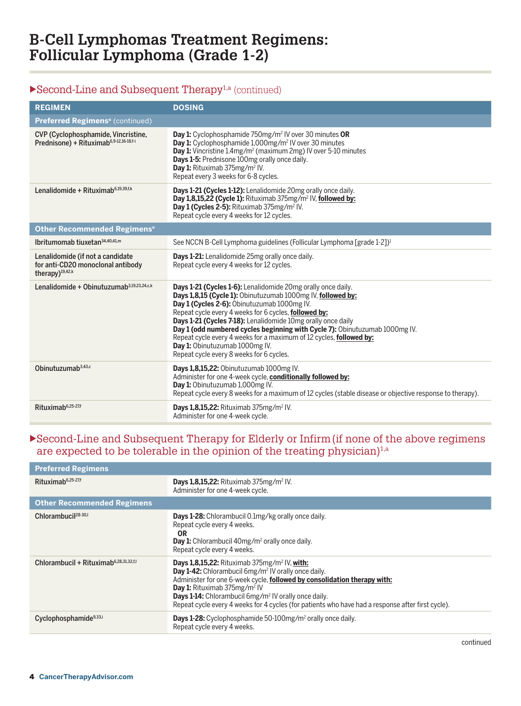## $\blacktriangleright$  Second-Line and Subsequent Therapy<sup>1,a</sup> (continued)

| <b>REGIMEN</b>                                                                                       | <b>DOSING</b>                                                                                                                                                                                                                                                                                                                                                                                                                                                                                                                           |
|------------------------------------------------------------------------------------------------------|-----------------------------------------------------------------------------------------------------------------------------------------------------------------------------------------------------------------------------------------------------------------------------------------------------------------------------------------------------------------------------------------------------------------------------------------------------------------------------------------------------------------------------------------|
| Preferred Regimens <sup>o</sup> (continued)                                                          |                                                                                                                                                                                                                                                                                                                                                                                                                                                                                                                                         |
| CVP (Cyclophosphamide, Vincristine,<br>Prednisone) + Rituximab <sup>6,9-12,16-18,f-i</sup>           | <b>Day 1:</b> Cyclophosphamide 750mg/m <sup>2</sup> IV over 30 minutes OR<br>Day 1: Cyclophosphamide 1,000mg/m <sup>2</sup> IV over 30 minutes<br>Day 1: Vincristine 1.4mg/m <sup>2</sup> (maximum 2mg) IV over 5-10 minutes<br>Days 1-5: Prednisone 100mg orally once daily.<br>Day 1: Rituximab 375mg/m <sup>2</sup> IV.<br>Repeat every 3 weeks for 6-8 cycles.                                                                                                                                                                      |
| Lenalidomide + Rituximab <sup>6,19,39,f,k</sup>                                                      | Days 1-21 (Cycles 1-12): Lenalidomide 20mg orally once daily.<br>Day 1,8,15,22 (Cycle 1): Rituximab 375mg/m <sup>2</sup> IV, followed by:<br>Day 1 (Cycles 2-5): Rituximab 375mg/m <sup>2</sup> IV.<br>Repeat cycle every 4 weeks for 12 cycles.                                                                                                                                                                                                                                                                                        |
| <b>Other Recommended Regimens<sup>o</sup></b>                                                        |                                                                                                                                                                                                                                                                                                                                                                                                                                                                                                                                         |
| Ibritumomab tiuxetan <sup>34,40,41,m</sup>                                                           | See NCCN B-Cell Lymphoma guidelines (Follicular Lymphoma [grade 1-2]) <sup>1</sup>                                                                                                                                                                                                                                                                                                                                                                                                                                                      |
| Lenalidomide (if not a candidate<br>for anti-CD20 monoclonal antibody<br>therapy) <sup>19,42,k</sup> | Days 1-21: Lenalidomide 25mg orally once daily.<br>Repeat cycle every 4 weeks for 12 cycles.                                                                                                                                                                                                                                                                                                                                                                                                                                            |
| Lenalidomide + Obinutuzumab <sup>3,19,23,24,c,k</sup>                                                | Days 1-21 (Cycles 1-6): Lenalidomide 20mg orally once daily.<br>Days 1,8,15 (Cycle 1): Obinutuzumab 1000mg IV, followed by:<br>Day 1 (Cycles 2-6): Obinutuzumab 1000mg IV.<br>Repeat cycle every 4 weeks for 6 cycles, followed by:<br>Days 1-21 (Cycles 7-18): Lenalidomide 10mg orally once daily<br>Day 1 (odd numbered cycles beginning with Cycle 7): Obinutuzumab 1000mg IV.<br>Repeat cycle every 4 weeks for a maximum of 12 cycles, followed by:<br>Day 1: Obinutuzumab 1000mg IV.<br>Repeat cycle every 8 weeks for 6 cycles. |
| Obinutuzumab <sup>3,43,c</sup>                                                                       | Days 1,8,15,22: Obinutuzumab 1000mg IV.<br>Administer for one 4-week cycle, conditionally followed by:<br>Day 1: Obinutuzumab 1,000mg IV.<br>Repeat cycle every 8 weeks for a maximum of 12 cycles (stable disease or objective response to therapy).                                                                                                                                                                                                                                                                                   |
| Rituximab <sup>6,25-27,f</sup>                                                                       | <b>Days 1,8,15,22:</b> Rituximab 375mg/m <sup>2</sup> IV.<br>Administer for one 4-week cycle.                                                                                                                                                                                                                                                                                                                                                                                                                                           |

#### $\blacktriangleright$  Second-Line and Subsequent Therapy for Elderly or Infirm (if none of the above regimens are expected to be tolerable in the opinion of the treating physician)<sup>1,a</sup>

| <b>Preferred Regimens</b>                          |                                                                                                                                                                                                                                                                                                                                                                                                                            |
|----------------------------------------------------|----------------------------------------------------------------------------------------------------------------------------------------------------------------------------------------------------------------------------------------------------------------------------------------------------------------------------------------------------------------------------------------------------------------------------|
| $Rituximab6,25-27,f$                               | <b>Days 1,8,15,22:</b> Rituximab $375$ mg/m <sup>2</sup> IV.<br>Administer for one 4-week cycle.                                                                                                                                                                                                                                                                                                                           |
| <b>Other Recommended Regimens</b>                  |                                                                                                                                                                                                                                                                                                                                                                                                                            |
| Chlorambucil <sup>28-30,1</sup>                    | <b>Days 1-28:</b> Chlorambucil 0.1mg/kg orally once daily.<br>Repeat cycle every 4 weeks.<br>0R<br><b>Day 1:</b> Chlorambucil $40mg/m^2$ orally once daily.<br>Repeat cycle every 4 weeks.                                                                                                                                                                                                                                 |
| Chlorambucil + Rituximab <sup>6,28,31,32,f,l</sup> | <b>Days 1,8,15,22:</b> Rituximab $375mg/m^2$ IV, with:<br>Day 1-42: Chlorambucil 6mg/m <sup>2</sup> IV orally once daily.<br>Administer for one 6-week cycle, followed by consolidation therapy with:<br>Day 1: Rituximab 375mg/m <sup>2</sup> IV<br>Days 1-14: Chlorambucil 6mg/m <sup>2</sup> IV orally once daily.<br>Repeat cycle every 4 weeks for 4 cycles (for patients who have had a response after first cycle). |
| Cyclophosphamide <sup>9,33,i</sup>                 | <b>Days 1-28:</b> Cyclophosphamide 50-100mg/m <sup>2</sup> orally once daily.<br>Repeat cycle every 4 weeks.                                                                                                                                                                                                                                                                                                               |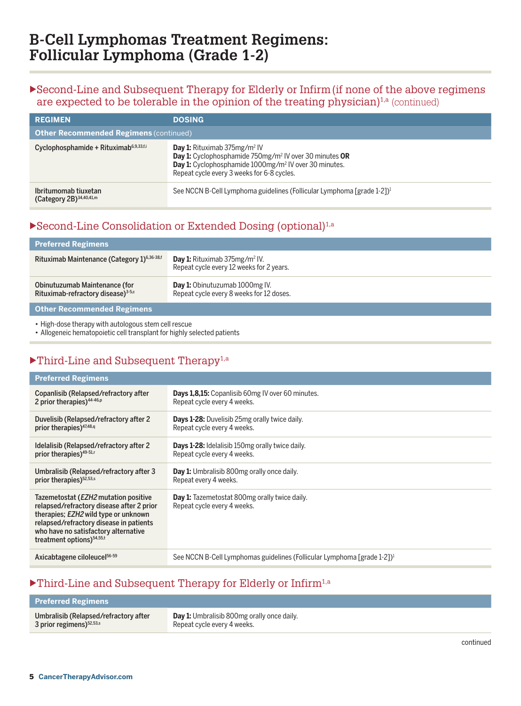### $\blacktriangleright$  Second-Line and Subsequent Therapy for Elderly or Infirm (if none of the above regimens are expected to be tolerable in the opinion of the treating physician)<sup>1, $a$ </sup> (continued)

| <b>REGIMEN</b>                                      | <b>DOSING</b>                                                                                                                                                                                                                               |
|-----------------------------------------------------|---------------------------------------------------------------------------------------------------------------------------------------------------------------------------------------------------------------------------------------------|
| <b>Other Recommended Regimens (continued)</b>       |                                                                                                                                                                                                                                             |
| Cyclophosphamide + Rituximab <sup>6,9,33,f.i</sup>  | <b>Day 1:</b> Rituximab $375$ mg/m <sup>2</sup> IV<br>Day 1: Cyclophosphamide 750mg/m <sup>2</sup> IV over 30 minutes OR<br>Day 1: Cyclophosphamide 1000mg/m <sup>2</sup> IV over 30 minutes.<br>Repeat cycle every 3 weeks for 6-8 cycles. |
| Ibritumomab tiuxetan<br>(Category 2B) $34,40,41, m$ | See NCCN B-Cell Lymphoma guidelines (Follicular Lymphoma [grade 1-2]) <sup>1</sup>                                                                                                                                                          |

## $\blacktriangleright$  Second-Line Consolidation or Extended Dosing (optional)<sup>1,a</sup>

| <b>Preferred Regimens</b>                                                       |                                                                                     |
|---------------------------------------------------------------------------------|-------------------------------------------------------------------------------------|
| Rituximab Maintenance (Category 1) <sup>6,36-38,f</sup>                         | <b>Day 1:</b> Rituximab $375mg/m^2$ IV.<br>Repeat cycle every 12 weeks for 2 years. |
| Obinutuzumab Maintenance (for<br>Rituximab-refractory disease) <sup>3-5,c</sup> | <b>Day 1:</b> Obinutuzumab 1000mg IV.<br>Repeat cycle every 8 weeks for 12 doses.   |
| Other Recommended Regimens                                                      |                                                                                     |

• High-dose therapy with autologous stem cell rescue

• Allogeneic hematopoietic cell transplant for highly selected patients

## $\blacktriangleright$  Third-Line and Subsequent Therapy<sup>1,a</sup>

| <b>Preferred Regimens</b>                                                                                                                                                                                                                                     |                                                                                     |
|---------------------------------------------------------------------------------------------------------------------------------------------------------------------------------------------------------------------------------------------------------------|-------------------------------------------------------------------------------------|
| Copanlisib (Relapsed/refractory after                                                                                                                                                                                                                         | <b>Days 1,8,15:</b> Copanlisib 60mg IV over 60 minutes.                             |
| 2 prior therapies) <sup>44-46,p</sup>                                                                                                                                                                                                                         | Repeat cycle every 4 weeks.                                                         |
| Duvelisib (Relapsed/refractory after 2                                                                                                                                                                                                                        | <b>Days 1-28:</b> Duvelisib 25mg orally twice daily.                                |
| prior therapies) <sup>47,48,q</sup>                                                                                                                                                                                                                           | Repeat cycle every 4 weeks.                                                         |
| Idelalisib (Relapsed/refractory after 2                                                                                                                                                                                                                       | <b>Days 1-28:</b> Idelalisib 150mg orally twice daily.                              |
| prior therapies) <sup>49-51,r</sup>                                                                                                                                                                                                                           | Repeat cycle every 4 weeks.                                                         |
| Umbralisib (Relapsed/refractory after 3                                                                                                                                                                                                                       | Day 1: Umbralisib 800mg orally once daily.                                          |
| prior therapies) <sup>52,53,s</sup>                                                                                                                                                                                                                           | Repeat every 4 weeks.                                                               |
| Tazemetostat ( <i>EZH2</i> mutation positive<br>relapsed/refractory disease after 2 prior<br>therapies; EZH2 wild type or unknown<br>relapsed/refractory disease in patients<br>who have no satisfactory alternative<br>treatment options) <sup>54,55,t</sup> | <b>Day 1:</b> Tazemetostat 800mg orally twice daily.<br>Repeat cycle every 4 weeks. |
| Axicabtagene ciloleucel <sup>56-59</sup>                                                                                                                                                                                                                      | See NCCN B-Cell Lymphomas guidelines (Follicular Lymphoma [grade 1-2]) <sup>1</sup> |

## $\blacktriangleright$ Third-Line and Subsequent Therapy for Elderly or Infirm<sup>1,a</sup>

| <b>Preferred Regimens</b>             |                                                   |
|---------------------------------------|---------------------------------------------------|
| Umbralisib (Relapsed/refractory after | <b>Day 1:</b> Umbralisib 800mg orally once daily. |
| $3$ prior regimens) $52,53,5$         | Repeat cycle every 4 weeks.                       |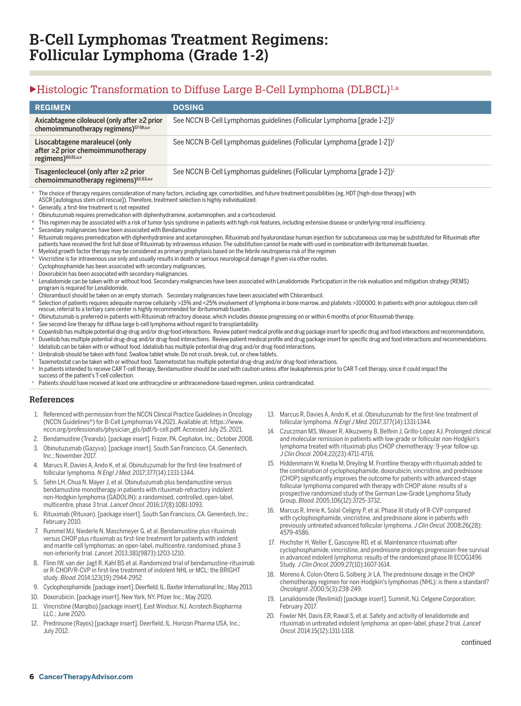### $\blacktriangleright$  Histologic Transformation to Diffuse Large B-Cell Lymphoma (DLBCL)<sup>1,a</sup>

|                                                                                                       | <b>REGIMEN</b>                                                                                                                                                                                                                                                                                                                                                                                                                                                                                                                                                                                                                                                                                                                                                                                                                                                                                                                                                                                                                                                                                                                                                                                                                                                                                                                                                                                                                                                                                                                                                                                                                                                                                                                                                                                                                                                                                                                                                                                                                                                                                                                                                                                                                                                                                                                                                                                                                                                                                                                                                                                                                                                                                                                                                                                                                                                                                                                                                                                                                                                                                                                                                                                                                                                                                                                                                                                                                                                                                | <b>DOSING</b>                                                                       |                                                                                     |                                                                                                                                                                                                                                                                                                                                                                                                   |  |
|-------------------------------------------------------------------------------------------------------|-----------------------------------------------------------------------------------------------------------------------------------------------------------------------------------------------------------------------------------------------------------------------------------------------------------------------------------------------------------------------------------------------------------------------------------------------------------------------------------------------------------------------------------------------------------------------------------------------------------------------------------------------------------------------------------------------------------------------------------------------------------------------------------------------------------------------------------------------------------------------------------------------------------------------------------------------------------------------------------------------------------------------------------------------------------------------------------------------------------------------------------------------------------------------------------------------------------------------------------------------------------------------------------------------------------------------------------------------------------------------------------------------------------------------------------------------------------------------------------------------------------------------------------------------------------------------------------------------------------------------------------------------------------------------------------------------------------------------------------------------------------------------------------------------------------------------------------------------------------------------------------------------------------------------------------------------------------------------------------------------------------------------------------------------------------------------------------------------------------------------------------------------------------------------------------------------------------------------------------------------------------------------------------------------------------------------------------------------------------------------------------------------------------------------------------------------------------------------------------------------------------------------------------------------------------------------------------------------------------------------------------------------------------------------------------------------------------------------------------------------------------------------------------------------------------------------------------------------------------------------------------------------------------------------------------------------------------------------------------------------------------------------------------------------------------------------------------------------------------------------------------------------------------------------------------------------------------------------------------------------------------------------------------------------------------------------------------------------------------------------------------------------------------------------------------------------------------------------------------------------|-------------------------------------------------------------------------------------|-------------------------------------------------------------------------------------|---------------------------------------------------------------------------------------------------------------------------------------------------------------------------------------------------------------------------------------------------------------------------------------------------------------------------------------------------------------------------------------------------|--|
|                                                                                                       | Axicabtagene ciloleucel (only after ≥2 prior<br>chemoimmunotherapy regimens) <sup>57-59,u,v</sup>                                                                                                                                                                                                                                                                                                                                                                                                                                                                                                                                                                                                                                                                                                                                                                                                                                                                                                                                                                                                                                                                                                                                                                                                                                                                                                                                                                                                                                                                                                                                                                                                                                                                                                                                                                                                                                                                                                                                                                                                                                                                                                                                                                                                                                                                                                                                                                                                                                                                                                                                                                                                                                                                                                                                                                                                                                                                                                                                                                                                                                                                                                                                                                                                                                                                                                                                                                                             |                                                                                     | See NCCN B-Cell Lymphomas guidelines (Follicular Lymphoma [grade 1-2]) <sup>1</sup> |                                                                                                                                                                                                                                                                                                                                                                                                   |  |
| Lisocabtagene maraleucel (only<br>after ≥2 prior chemoimmunotherapy<br>regimens) <sup>60,61,u,v</sup> |                                                                                                                                                                                                                                                                                                                                                                                                                                                                                                                                                                                                                                                                                                                                                                                                                                                                                                                                                                                                                                                                                                                                                                                                                                                                                                                                                                                                                                                                                                                                                                                                                                                                                                                                                                                                                                                                                                                                                                                                                                                                                                                                                                                                                                                                                                                                                                                                                                                                                                                                                                                                                                                                                                                                                                                                                                                                                                                                                                                                                                                                                                                                                                                                                                                                                                                                                                                                                                                                                               | See NCCN B-Cell Lymphomas guidelines (Follicular Lymphoma [grade 1-2]) <sup>1</sup> |                                                                                     |                                                                                                                                                                                                                                                                                                                                                                                                   |  |
|                                                                                                       | Tisagenlecleucel (only after $\geq$ 2 prior<br>chemoimmunotherapy regimens) <sup>62,63,u,v</sup>                                                                                                                                                                                                                                                                                                                                                                                                                                                                                                                                                                                                                                                                                                                                                                                                                                                                                                                                                                                                                                                                                                                                                                                                                                                                                                                                                                                                                                                                                                                                                                                                                                                                                                                                                                                                                                                                                                                                                                                                                                                                                                                                                                                                                                                                                                                                                                                                                                                                                                                                                                                                                                                                                                                                                                                                                                                                                                                                                                                                                                                                                                                                                                                                                                                                                                                                                                                              |                                                                                     |                                                                                     | See NCCN B-Cell Lymphomas guidelines (Follicular Lymphoma [grade 1-2]) <sup>1</sup>                                                                                                                                                                                                                                                                                                               |  |
| b<br>g<br>h<br>k<br>m<br>р<br>q<br>u                                                                  | <sup>a</sup> The choice of therapy requires consideration of many factors, including age, comorbidities, and future treatment possibilities (eg, HDT [high-dose therapy] with<br>ASCR [autologous stem cell rescue]). Therefore, treatment selection is highly individualized.<br>Generally, a first-line treatment is not repeated<br>Obinutuzumab requires premedication with diphenhydramine, acetaminophen, and a corticosteroid.<br>This regimen may be associated with a risk of tumor lysis syndrome in patients with high-risk features, including extensive disease or underlying renal insufficiency.<br>Secondary malignancies have been associated with Bendamustine<br>Rituximab requires premedication with diphenhydramine and acetaminophen. Rituximab and hyaluronidase human injection for subcutaneous use may be substituted for Rituximab after<br>patients have received the first full dose of Rituximab by intravenous infusion. The substitution cannot be made with used in combination with ibritumomab tiuxetan.<br>Myeloid growth factor therapy may be considered as primary prophylaxis based on the febrile neutropenia risk of the regimen<br>Vincristine is for intravenous use only and usually results in death or serious neurological damage if given via other routes.<br>Cyclophosphamide has been associated with secondary malignancies.<br>Doxorubicin has been associated with secondary malignancies.<br>Lenalidomide can be taken with or without food. Secondary malignancies have been associated with Lenalidomide. Participation in the risk evaluation and mitigation strategy (REMS)<br>program is required for Lenalidomide.<br>Chlorambucil should be taken on an empty stomach. Secondary malignancies have been associated with Chlorambucil.<br>Selection of patients requires adequate marrow cellularity >15% and <25% involvement of lymphoma in bone marrow, and platelets >100000. In patients with prior autologous stem cell<br>rescue, referral to a tertiary care center is highly recommended for ibritumomab tiuxetan.<br>Obinutuzumab is preferred in patients with Rituximab refractory disease, which includes disease progressing on or within 6 months of prior Rituximab therapy.<br>See second-line therapy for diffuse large b-cell lymphoma without regard to transplantability.<br>Copanlisib has multiple potential drug-drug and/or drug-food interactions. Review patient medical profile and drug package insert for specific drug and food interactions and recommendations.<br>Duvelisib has multiple potential drug-drug and/or drug-food interactions. Review patient medical profile and drug package insert for specific drug and food interactions and recommendations.<br>Idelalisib can be taken with or without food. Idelalisib has multiple potential drug-drug and/or drug-food interactions.<br>Umbralisib should be taken with food. Swallow tablet whole. Do not crush, break, cut, or chew tablets.<br>Tazemetostat can be taken with or without food. Tazemetostat has multiple potential drug-drug and/or drug-food interactions.<br>In patients intended to receive CAR T-cell therapy, Bendamustine should be used with caution unless after leukapheresis prior to CAR T-cell therapy, since it could impact the<br>success of the patient's T-cell collection.<br>Patients should have received at least one anthracycline or anthracenedione-based regimen, unless contraindicated. |                                                                                     |                                                                                     |                                                                                                                                                                                                                                                                                                                                                                                                   |  |
| References                                                                                            |                                                                                                                                                                                                                                                                                                                                                                                                                                                                                                                                                                                                                                                                                                                                                                                                                                                                                                                                                                                                                                                                                                                                                                                                                                                                                                                                                                                                                                                                                                                                                                                                                                                                                                                                                                                                                                                                                                                                                                                                                                                                                                                                                                                                                                                                                                                                                                                                                                                                                                                                                                                                                                                                                                                                                                                                                                                                                                                                                                                                                                                                                                                                                                                                                                                                                                                                                                                                                                                                                               |                                                                                     |                                                                                     |                                                                                                                                                                                                                                                                                                                                                                                                   |  |
|                                                                                                       | 1. Referenced with permission from the NCCN Clinical Practice Guidelines in Oncology<br>(NCCN Guidelines®) for B-Cell Lymphomas V4.2021. Available at: https://www.<br>nccn.org/professionals/physician_gls/pdf/b-cell.pdff. Accessed July 25, 2021.                                                                                                                                                                                                                                                                                                                                                                                                                                                                                                                                                                                                                                                                                                                                                                                                                                                                                                                                                                                                                                                                                                                                                                                                                                                                                                                                                                                                                                                                                                                                                                                                                                                                                                                                                                                                                                                                                                                                                                                                                                                                                                                                                                                                                                                                                                                                                                                                                                                                                                                                                                                                                                                                                                                                                                                                                                                                                                                                                                                                                                                                                                                                                                                                                                          |                                                                                     |                                                                                     | 13. Marcus R, Davies A, Ando K, et al. Obinutuzumab for the first-line treatment of<br>follicular lymphoma. N Engl J Med. 2017;377(14):1331-1344.<br>14. Czuczman MS, Weaver R, Alkuzweny B, Belfein J, Grillo-Lopez AJ. Prolonged clinical                                                                                                                                                       |  |
|                                                                                                       | 2. Bendamustine (Treanda). [package insert]. Frazer, PA. Cephalon, Inc.; October 2008.                                                                                                                                                                                                                                                                                                                                                                                                                                                                                                                                                                                                                                                                                                                                                                                                                                                                                                                                                                                                                                                                                                                                                                                                                                                                                                                                                                                                                                                                                                                                                                                                                                                                                                                                                                                                                                                                                                                                                                                                                                                                                                                                                                                                                                                                                                                                                                                                                                                                                                                                                                                                                                                                                                                                                                                                                                                                                                                                                                                                                                                                                                                                                                                                                                                                                                                                                                                                        |                                                                                     |                                                                                     | and molecular remission in patients with low-grade or follicular non-Hodgkin's                                                                                                                                                                                                                                                                                                                    |  |
|                                                                                                       | 3. Obinutuzumab (Gazyva). [package insert]. South San Francisco, CA. Genentech,<br>Inc.: November 2017.                                                                                                                                                                                                                                                                                                                                                                                                                                                                                                                                                                                                                                                                                                                                                                                                                                                                                                                                                                                                                                                                                                                                                                                                                                                                                                                                                                                                                                                                                                                                                                                                                                                                                                                                                                                                                                                                                                                                                                                                                                                                                                                                                                                                                                                                                                                                                                                                                                                                                                                                                                                                                                                                                                                                                                                                                                                                                                                                                                                                                                                                                                                                                                                                                                                                                                                                                                                       |                                                                                     |                                                                                     | lymphoma treated with rituximab plus CHOP chemotherapy: 9-year follow-up.<br>J Clin Oncol. 2004;22(23):4711-4716.                                                                                                                                                                                                                                                                                 |  |
|                                                                                                       | 4. Marucs R, Davies A, Ando K, et al. Obinutuzumab for the first-line treatment of<br>follicular lymphoma. N Engl J Med. 2017;377(14):1331-1344.<br>5. Sehn LH, Chua N, Mayer J, et al. Obinutuzumab plus bendamustine versus<br>bendamustine monotherapy in patients with rituximab-refractory indolent<br>non-Hodgkin lymphoma (GADOLIN): a randomised, controlled, open-label,                                                                                                                                                                                                                                                                                                                                                                                                                                                                                                                                                                                                                                                                                                                                                                                                                                                                                                                                                                                                                                                                                                                                                                                                                                                                                                                                                                                                                                                                                                                                                                                                                                                                                                                                                                                                                                                                                                                                                                                                                                                                                                                                                                                                                                                                                                                                                                                                                                                                                                                                                                                                                                                                                                                                                                                                                                                                                                                                                                                                                                                                                                             |                                                                                     |                                                                                     | 15. Hiddenmann W, Kneba M, Dreyling M. Frontline therapy with rituximab added to<br>the combination of cyclophosphamide, doxorubicin, vincristine, and prednisone<br>(CHOP) significantly improves the outcome for patients with advanced-stage<br>follicular lymphoma compared with therapy with CHOP alone: results of a<br>prospective randomized study of the German Low-Grade Lymphoma Study |  |
|                                                                                                       | multicentre, phase 3 trial. Lancet Oncol. 2016;17(8):1081-1093.                                                                                                                                                                                                                                                                                                                                                                                                                                                                                                                                                                                                                                                                                                                                                                                                                                                                                                                                                                                                                                                                                                                                                                                                                                                                                                                                                                                                                                                                                                                                                                                                                                                                                                                                                                                                                                                                                                                                                                                                                                                                                                                                                                                                                                                                                                                                                                                                                                                                                                                                                                                                                                                                                                                                                                                                                                                                                                                                                                                                                                                                                                                                                                                                                                                                                                                                                                                                                               |                                                                                     | 16.                                                                                 | Group. Blood. 2005;106(12):3725-3732.<br>Marcus R, Imrie K, Solal-Celigny P, et al. Phase III study of R-CVP compared                                                                                                                                                                                                                                                                             |  |
| 6.                                                                                                    | Rituximab (Rituxan). [package insert]. South San Francisco, CA. Genentech, Inc.;<br>February 2010.                                                                                                                                                                                                                                                                                                                                                                                                                                                                                                                                                                                                                                                                                                                                                                                                                                                                                                                                                                                                                                                                                                                                                                                                                                                                                                                                                                                                                                                                                                                                                                                                                                                                                                                                                                                                                                                                                                                                                                                                                                                                                                                                                                                                                                                                                                                                                                                                                                                                                                                                                                                                                                                                                                                                                                                                                                                                                                                                                                                                                                                                                                                                                                                                                                                                                                                                                                                            |                                                                                     |                                                                                     | with cyclophosphamide, vincristine, and prednisone alone in patients with                                                                                                                                                                                                                                                                                                                         |  |

 7. Rummel MJ, Niederle N, Maschmeyer G, et al. Bendamustine plus rituximab versus CHOP plus rituximab as first-line treatment for patients with indolent and mantle-cell lymphomas: an open-label, multicentre, randomised, phase 3 non-inferiority trial. Lancet. 2013;381(9873):1203-1210.

- 8. Flinn IW, van der Jagt R, Kahl BS et al. Randomized trial of bendamustine-rituximab or R-CHOP/R-CVP in first-line treatment of indolent NHL or MCL: the BRIGHT study. Blood. 2014;123(19):2944-2952
- 9. Cyclophosphamide. [package insert]. Deerfield, IL. Baxter International Inc.; May 2013.
- 10. Doxorubicin. [package insert]. New York, NY. Pfizer Inc.; May 2020.
- 11. Vincristine (Marqibo) [package insert]. East Windsor, NJ. Acrotech Biopharma LLC.; June 2020.
- 12. Prednisone (Rayos) [package insert]. Deerfield, IL. Horizon Pharma USA, Inc.; July 2012.
- with cyclophosphamide, vincristine, and prednisone alone in patients with previously untreated advanced follicular lymphoma. J Clin Oncol. 2008;26(28): 4579-4586.
- 17. Hochster H, Weller E, Gascoyne RD, et al. Maintenance rituximab after cyclophosphamide, vincristine, and prednisone prolongs progression-free survival in advanced indolent lymphoma: results of the randomized phase III ECOG1496 Study. J Clin Oncol. 2009;27(10):1607-1614.
- 18. Moreno A, Colon-Otero G, Solberg Jr LA. The prednisone dosage in the CHOP chemotherapy regimen for non-Hodgkin's lymphomas (NHL): is there a standard? Oncologist. 2000;5(3):238-249.
- 19. Lenalidomide (Revlimid) [package insert]. Summit, NJ. Celgene Corporation; February 2017.
- 20. Fowler NH, Davis ER, Rawal S, et al. Safety and activity of lenalidomide and rituximab in untreated indolent lymphoma: an open-label, phase 2 trial. Lancet Oncol. 2014;15(12):1311-1318.